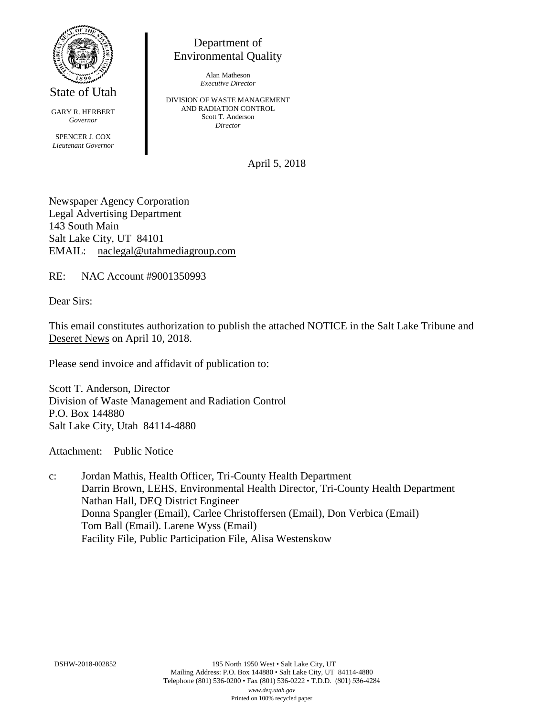

State of Utah

GARY R. HERBERT *Governor* SPENCER J. COX *Lieutenant Governor*

Department of Environmental Quality

> Alan Matheson *Executive Director*

DIVISION OF WASTE MANAGEMENT AND RADIATION CONTROL Scott T. Anderson *Director*

April 5, 2018

Newspaper Agency Corporation Legal Advertising Department 143 South Main Salt Lake City, UT 84101 EMAIL: naclegal@utahmediagroup.com

RE: NAC Account #9001350993

Dear Sirs:

This email constitutes authorization to publish the attached NOTICE in the Salt Lake Tribune and Deseret News on April 10, 2018.

Please send invoice and affidavit of publication to:

Scott T. Anderson, Director Division of Waste Management and Radiation Control P.O. Box 144880 Salt Lake City, Utah 84114-4880

Attachment: Public Notice

c: Jordan Mathis, Health Officer, Tri-County Health Department Darrin Brown, LEHS, Environmental Health Director, Tri-County Health Department Nathan Hall, DEQ District Engineer Donna Spangler (Email), Carlee Christoffersen (Email), Don Verbica (Email) Tom Ball (Email). Larene Wyss (Email) Facility File, Public Participation File, Alisa Westenskow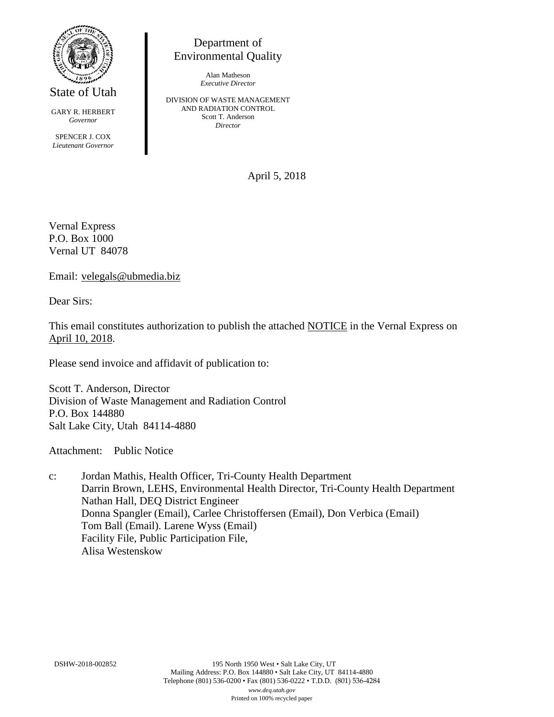

State of Utah

GARY R. HERBERT *Governor* SPENCER J. COX *Lieutenant Governor*

Environmental Quality

Alan Matheson *Executive Director*

Department of

DIVISION OF WASTE MANAGEMENT AND RADIATION CONTROL Scott T. Anderson *Director*

April 5, 2018

Vernal Express P.O. Box 1000 Vernal UT 84078

Email: velegals@ubmedia.biz

Dear Sirs:

This email constitutes authorization to publish the attached NOTICE in the Vernal Express on April 10, 2018.

Please send invoice and affidavit of publication to:

Scott T. Anderson, Director Division of Waste Management and Radiation Control P.O. Box 144880 Salt Lake City, Utah 84114-4880

Attachment: Public Notice

c: Jordan Mathis, Health Officer, Tri-County Health Department Darrin Brown, LEHS, Environmental Health Director, Tri-County Health Department Nathan Hall, DEQ District Engineer Donna Spangler (Email), Carlee Christoffersen (Email), Don Verbica (Email) Tom Ball (Email). Larene Wyss (Email) Facility File, Public Participation File, Alisa Westenskow